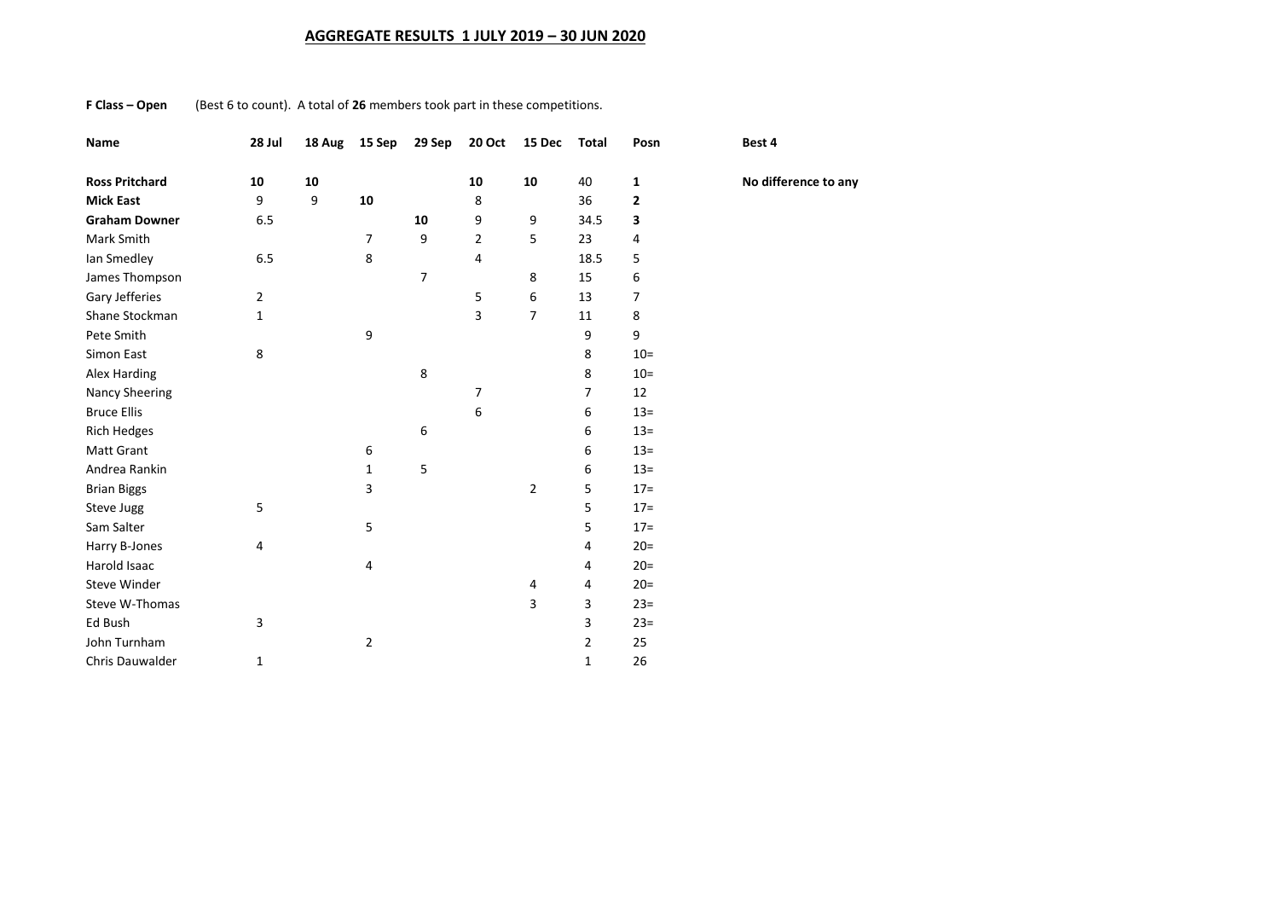## **AGGREGATE RESULTS 1 JULY 2019 – 30 JUN 2020**

**F Class – Open** (Best 6 to count). A total of **26** members took part in these competitions.

| Name                  | 28 Jul | 18 Aug | 15 Sep         | 29 Sep | 20 Oct         | 15 Dec         | <b>Total</b> | Posn           | Best 4 |
|-----------------------|--------|--------|----------------|--------|----------------|----------------|--------------|----------------|--------|
| <b>Ross Pritchard</b> | 10     | 10     |                |        | 10             | 10             | 40           | 1              | No dif |
| <b>Mick East</b>      | 9      | 9      | 10             |        | 8              |                | 36           | $\mathbf{2}$   |        |
| <b>Graham Downer</b>  | 6.5    |        |                | 10     | 9              | 9              | 34.5         | 3              |        |
| Mark Smith            |        |        | $\overline{7}$ | 9      | $\overline{2}$ | 5              | 23           | 4              |        |
| Ian Smedley           | 6.5    |        | 8              |        | 4              |                | 18.5         | 5              |        |
| James Thompson        |        |        |                | 7      |                | 8              | 15           | 6              |        |
| Gary Jefferies        | 2      |        |                |        | 5              | 6              | 13           | $\overline{7}$ |        |
| Shane Stockman        | 1      |        |                |        | 3              | $\overline{7}$ | 11           | 8              |        |
| Pete Smith            |        |        | 9              |        |                |                | 9            | 9              |        |
| Simon East            | 8      |        |                |        |                |                | 8            | $10=$          |        |
| Alex Harding          |        |        |                | 8      |                |                | 8            | $10=$          |        |
| <b>Nancy Sheering</b> |        |        |                |        | 7              |                | 7            | 12             |        |
| <b>Bruce Ellis</b>    |        |        |                |        | 6              |                | 6            | $13 =$         |        |
| <b>Rich Hedges</b>    |        |        |                | 6      |                |                | 6            | $13 =$         |        |
| Matt Grant            |        |        | 6              |        |                |                | 6            | $13=$          |        |
| Andrea Rankin         |        |        | $\mathbf{1}$   | 5      |                |                | 6            | $13=$          |        |
| <b>Brian Biggs</b>    |        |        | 3              |        |                | $\overline{2}$ | 5            | $17=$          |        |
| Steve Jugg            | 5      |        |                |        |                |                | 5            | $17 =$         |        |
| Sam Salter            |        |        | 5              |        |                |                | 5            | $17 =$         |        |
| Harry B-Jones         | 4      |        |                |        |                |                | 4            | $20=$          |        |
| Harold Isaac          |        |        | 4              |        |                |                | 4            | $20=$          |        |
| <b>Steve Winder</b>   |        |        |                |        |                | 4              | 4            | $20=$          |        |
| Steve W-Thomas        |        |        |                |        |                | 3              | 3            | $23=$          |        |
| Ed Bush               | 3      |        |                |        |                |                | 3            | $23=$          |        |
| John Turnham          |        |        | $\overline{2}$ |        |                |                | 2            | 25             |        |
| Chris Dauwalder       | 1      |        |                |        |                |                | 1            | 26             |        |

**Ross Pritchard 10 10 10 10** 40 **1 No difference to any**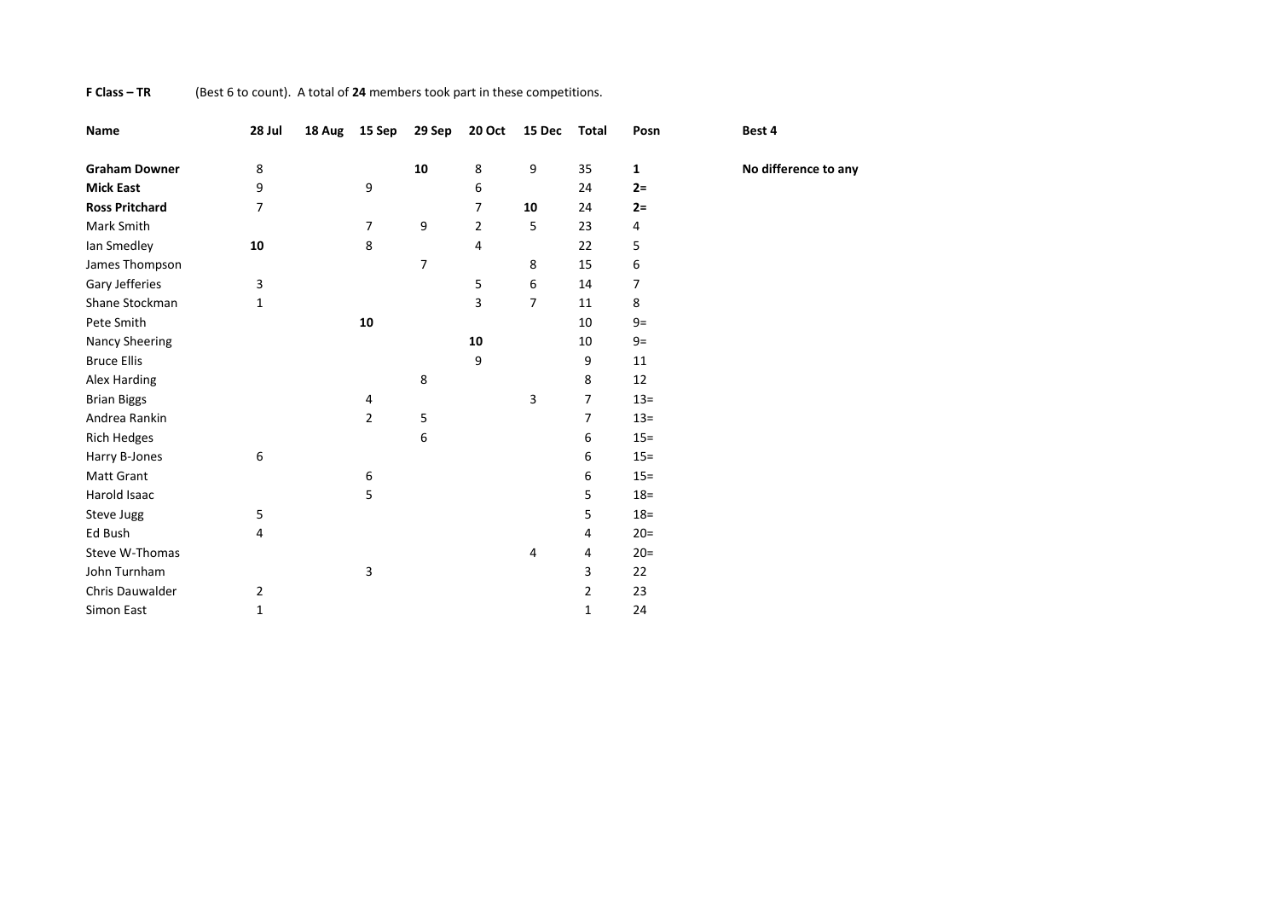## **F Class – TR** (Best 6 to count). A total of **24** members took part in these competitions.

| Name                  | 28 Jul         | 18 Aug | 15 Sep         | 29 Sep         | <b>20 Oct</b>  | 15 Dec | <b>Total</b>   | Posn         | Best 4               |
|-----------------------|----------------|--------|----------------|----------------|----------------|--------|----------------|--------------|----------------------|
| <b>Graham Downer</b>  | 8              |        |                | 10             | 8              | 9      | 35             | $\mathbf{1}$ | No difference to any |
| <b>Mick East</b>      | 9              |        | 9              |                | 6              |        | 24             | $2=$         |                      |
| <b>Ross Pritchard</b> | $\overline{7}$ |        |                |                | 7              | 10     | 24             | $2=$         |                      |
| Mark Smith            |                |        | 7              | 9              | $\overline{2}$ | 5      | 23             | 4            |                      |
| lan Smedley           | 10             |        | 8              |                | 4              |        | 22             | 5            |                      |
| James Thompson        |                |        |                | $\overline{7}$ |                | 8      | 15             | 6            |                      |
| Gary Jefferies        | 3              |        |                |                | 5              | 6      | 14             | 7            |                      |
| Shane Stockman        | $\mathbf{1}$   |        |                |                | 3              | 7      | 11             | 8            |                      |
| Pete Smith            |                |        | 10             |                |                |        | 10             | $9=$         |                      |
| <b>Nancy Sheering</b> |                |        |                |                | 10             |        | 10             | $9=$         |                      |
| <b>Bruce Ellis</b>    |                |        |                |                | 9              |        | 9              | 11           |                      |
| Alex Harding          |                |        |                | 8              |                |        | 8              | 12           |                      |
| <b>Brian Biggs</b>    |                |        | 4              |                |                | 3      | $\overline{7}$ | $13 =$       |                      |
| Andrea Rankin         |                |        | $\overline{2}$ | 5              |                |        | $\overline{7}$ | $13 =$       |                      |
| Rich Hedges           |                |        |                | 6              |                |        | 6              | $15 =$       |                      |
| Harry B-Jones         | 6              |        |                |                |                |        | 6              | $15 =$       |                      |
| <b>Matt Grant</b>     |                |        | 6              |                |                |        | 6              | $15 =$       |                      |
| Harold Isaac          |                |        | 5              |                |                |        | 5              | $18 =$       |                      |
| Steve Jugg            | 5              |        |                |                |                |        | 5              | $18 =$       |                      |
| Ed Bush               | 4              |        |                |                |                |        | 4              | $20=$        |                      |
| Steve W-Thomas        |                |        |                |                |                | 4      | 4              | $20=$        |                      |
| John Turnham          |                |        | 3              |                |                |        | 3              | 22           |                      |
| Chris Dauwalder       | $\overline{2}$ |        |                |                |                |        | $\overline{2}$ | 23           |                      |
| Simon East            | 1              |        |                |                |                |        | $\mathbf 1$    | 24           |                      |
|                       |                |        |                |                |                |        |                |              |                      |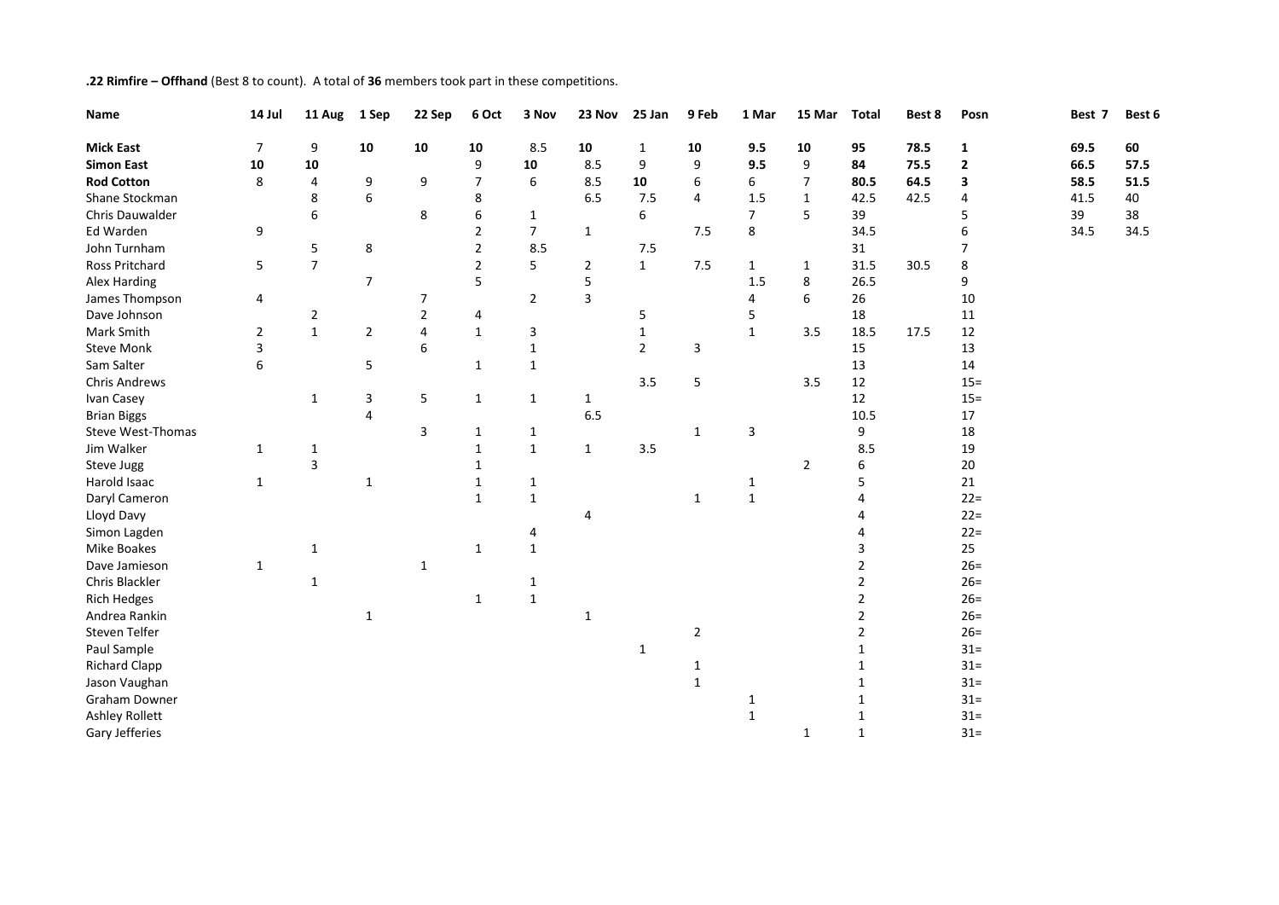## **.22 Rimfire – Offhand** (Best 8 to count). A total of **36** members took part in these competitions.

| Name                  | 14 Jul         | 11 Aug         | 1 Sep          | 22 Sep         | 6 Oct          | 3 Nov          | 23 Nov         | 25 Jan         | 9 Feb          | 1 Mar          | 15 Mar         | <b>Total</b> | Best 8 | Posn           | Best 7 | Best 6 |
|-----------------------|----------------|----------------|----------------|----------------|----------------|----------------|----------------|----------------|----------------|----------------|----------------|--------------|--------|----------------|--------|--------|
| <b>Mick East</b>      | $\overline{7}$ | 9              | 10             | 10             | 10             | 8.5            | 10             | 1              | 10             | 9.5            | 10             | 95           | 78.5   | $\mathbf{1}$   | 69.5   | 60     |
| <b>Simon East</b>     | ${\bf 10}$     | 10             |                |                | 9              | 10             | 8.5            | 9              | 9              | 9.5            | 9              | 84           | 75.5   | $\mathbf{2}$   | 66.5   | 57.5   |
| <b>Rod Cotton</b>     | 8              | 4              | 9              | 9              | 7              | 6              | 8.5            | 10             | 6              | 6              | $\overline{7}$ | 80.5         | 64.5   | 3              | 58.5   | 51.5   |
| Shane Stockman        |                | 8              | 6              |                | 8              |                | 6.5            | 7.5            | 4              | 1.5            | $\mathbf{1}$   | 42.5         | 42.5   | 4              | 41.5   | 40     |
| Chris Dauwalder       |                | 6              |                | 8              | 6              | $\mathbf{1}$   |                | 6              |                | $\overline{7}$ | 5              | 39           |        | 5              | 39     | 38     |
| Ed Warden             | 9              |                |                |                | 2              | $\overline{7}$ | $\mathbf{1}$   |                | 7.5            | 8              |                | 34.5         |        | 6              | 34.5   | 34.5   |
| John Turnham          |                | 5              | 8              |                | $\overline{2}$ | 8.5            |                | 7.5            |                |                |                | 31           |        | $\overline{7}$ |        |        |
| Ross Pritchard        | 5              | $\overline{7}$ |                |                | $\overline{2}$ | 5              | $\overline{2}$ | $\mathbf{1}$   | 7.5            | $\mathbf{1}$   | $\mathbf{1}$   | 31.5         | 30.5   | 8              |        |        |
| Alex Harding          |                |                | $\overline{7}$ |                | 5              |                | 5              |                |                | 1.5            | 8              | 26.5         |        | 9              |        |        |
| James Thompson        | 4              |                |                | 7              |                | $\overline{2}$ | 3              |                |                | 4              | 6              | 26           |        | 10             |        |        |
| Dave Johnson          |                | $\mathbf 2$    |                | $\overline{2}$ | 4              |                |                | 5              |                | 5              |                | 18           |        | 11             |        |        |
| Mark Smith            | $\overline{2}$ | $\mathbf{1}$   | $\overline{2}$ | $\overline{4}$ | $\mathbf{1}$   | 3              |                | 1              |                | $\mathbf{1}$   | 3.5            | 18.5         | 17.5   | 12             |        |        |
| <b>Steve Monk</b>     | 3              |                |                | 6              |                | $\mathbf{1}$   |                | $\overline{2}$ | 3              |                |                | 15           |        | 13             |        |        |
| Sam Salter            | 6              |                | 5              |                | $\mathbf{1}$   | $\mathbf{1}$   |                |                |                |                |                | 13           |        | 14             |        |        |
| <b>Chris Andrews</b>  |                |                |                |                |                |                |                | 3.5            | 5              |                | 3.5            | 12           |        | $15 =$         |        |        |
| Ivan Casey            |                | $\mathbf{1}$   | 3              | 5              | $\mathbf{1}$   | $\mathbf{1}$   | $\mathbf{1}$   |                |                |                |                | 12           |        | $15 =$         |        |        |
| <b>Brian Biggs</b>    |                |                | 4              |                |                |                | 6.5            |                |                |                |                | 10.5         |        | 17             |        |        |
| Steve West-Thomas     |                |                |                | 3              | $\mathbf{1}$   | $\mathbf{1}$   |                |                | $\mathbf{1}$   | 3              |                | 9            |        | 18             |        |        |
| Jim Walker            | $\mathbf{1}$   | 1              |                |                | 1              | $\mathbf{1}$   | $\mathbf{1}$   | 3.5            |                |                |                | 8.5          |        | 19             |        |        |
| Steve Jugg            |                | 3              |                |                | $\mathbf{1}$   |                |                |                |                |                | $\overline{2}$ | 6            |        | 20             |        |        |
| Harold Isaac          | $\mathbf{1}$   |                | $\mathbf{1}$   |                | 1              | $\mathbf{1}$   |                |                |                | $\mathbf{1}$   |                | 5            |        | 21             |        |        |
| Daryl Cameron         |                |                |                |                | $\mathbf{1}$   | $1\,$          |                |                | $\mathbf{1}$   | $\mathbf 1$    |                | 4            |        | $22 =$         |        |        |
| Lloyd Davy            |                |                |                |                |                |                | 4              |                |                |                |                | 4            |        | $22 =$         |        |        |
| Simon Lagden          |                |                |                |                |                | 4              |                |                |                |                |                | 4            |        | $22 =$         |        |        |
| <b>Mike Boakes</b>    |                | 1              |                |                | $\mathbf{1}$   | $\mathbf{1}$   |                |                |                |                |                | 3            |        | 25             |        |        |
| Dave Jamieson         | $\mathbf{1}$   |                |                | $\mathbf{1}$   |                |                |                |                |                |                |                | 2            |        | $26=$          |        |        |
| Chris Blackler        |                | $\mathbf{1}$   |                |                |                | 1              |                |                |                |                |                | 2            |        | $26=$          |        |        |
| <b>Rich Hedges</b>    |                |                |                |                | $\mathbf{1}$   | $\mathbf{1}$   |                |                |                |                |                | 2            |        | $26=$          |        |        |
| Andrea Rankin         |                |                | 1              |                |                |                | 1              |                |                |                |                | 2            |        | $26=$          |        |        |
| Steven Telfer         |                |                |                |                |                |                |                |                | $\overline{2}$ |                |                | 2            |        | $26=$          |        |        |
| Paul Sample           |                |                |                |                |                |                |                | 1              |                |                |                | 1            |        | $31 =$         |        |        |
| <b>Richard Clapp</b>  |                |                |                |                |                |                |                |                | 1              |                |                | 1            |        | $31 =$         |        |        |
| Jason Vaughan         |                |                |                |                |                |                |                |                | $\mathbf{1}$   |                |                |              |        | $31 =$         |        |        |
| Graham Downer         |                |                |                |                |                |                |                |                |                | 1              |                |              |        | $31 =$         |        |        |
| <b>Ashley Rollett</b> |                |                |                |                |                |                |                |                |                | $\mathbf 1$    |                |              |        | $31 =$         |        |        |
| Gary Jefferies        |                |                |                |                |                |                |                |                |                |                | $\mathbf{1}$   | $\mathbf{1}$ |        | $31 =$         |        |        |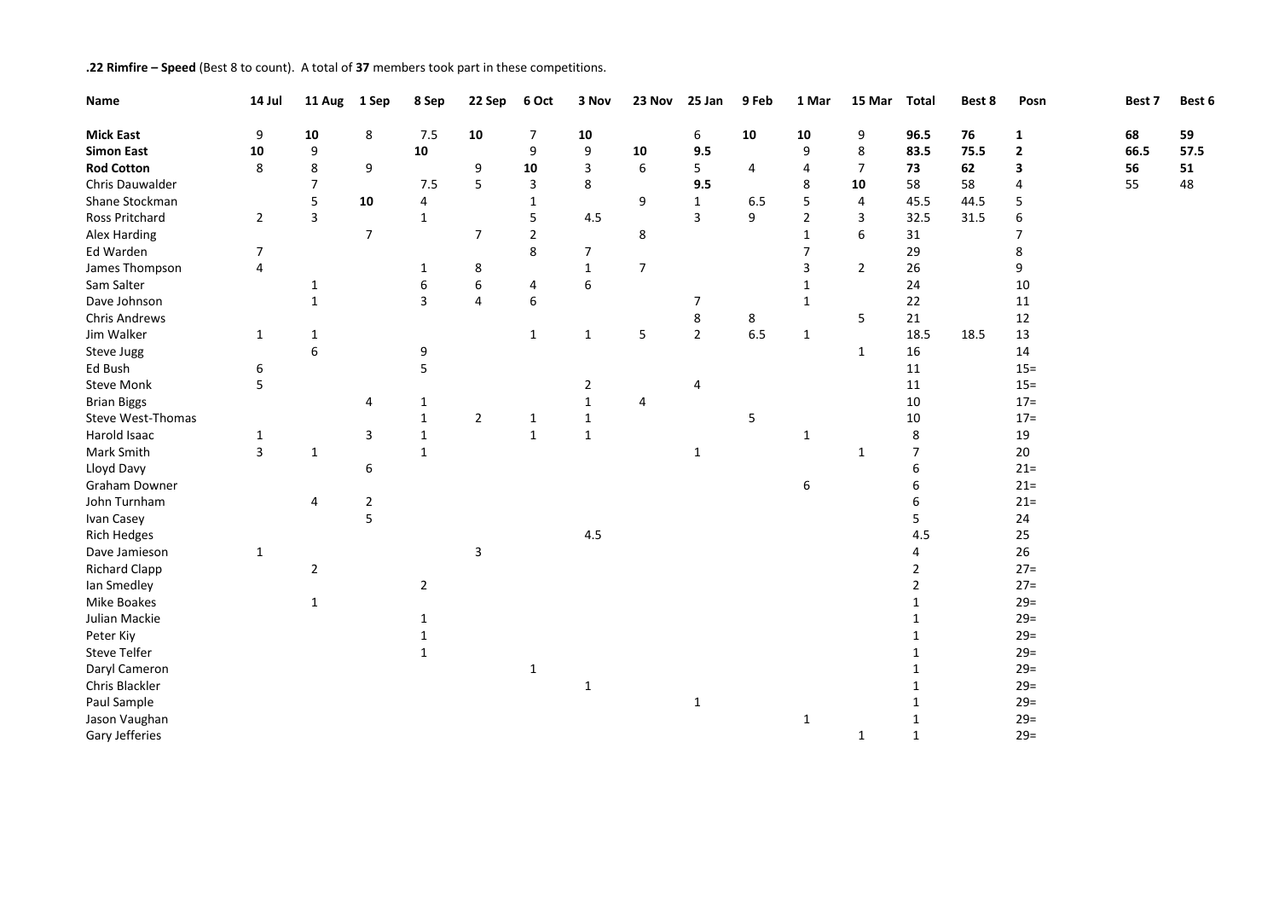## **.22 Rimfire – Speed** (Best 8 to count). A total of **37** members took part in these competitions.

| Name                 | 14 Jul         | 11 Aug         | 1 Sep          | 8 Sep        | 22 Sep           | 6 Oct          | 3 Nov          | 23 Nov         | 25 Jan      | 9 Feb          | 1 Mar          | 15 Mar         | <b>Total</b>   | Best 8 | Posn         | Best 7 | Best 6 |
|----------------------|----------------|----------------|----------------|--------------|------------------|----------------|----------------|----------------|-------------|----------------|----------------|----------------|----------------|--------|--------------|--------|--------|
| <b>Mick East</b>     | 9              | 10             | 8              | 7.5          | 10               | 7              | 10             |                | 6           | 10             | 10             | 9              | 96.5           | 76     | 1            | 68     | 59     |
| <b>Simon East</b>    | 10             | 9              |                | ${\bf 10}$   |                  | 9              | 9              | 10             | 9.5         |                | 9              | 8              | 83.5           | 75.5   | $\mathbf{2}$ | 66.5   | 57.5   |
| <b>Rod Cotton</b>    | 8              | 8              | 9              |              | 9                | 10             | 3              | 6              | 5           | $\overline{4}$ | 4              | $\overline{7}$ | 73             | 62     | 3            | 56     | 51     |
| Chris Dauwalder      |                | $\overline{7}$ |                | 7.5          | 5                | 3              | 8              |                | 9.5         |                | 8              | 10             | 58             | 58     | 4            | 55     | 48     |
| Shane Stockman       |                | 5              | 10             | 4            |                  | 1              |                | 9              | 1           | 6.5            | 5              | 4              | 45.5           | 44.5   | 5            |        |        |
| Ross Pritchard       | $\overline{2}$ | 3              |                | $\mathbf 1$  |                  | 5              | 4.5            |                | 3           | 9              | $\overline{2}$ | 3              | 32.5           | 31.5   | 6            |        |        |
| Alex Harding         |                |                | $\overline{7}$ |              | $\overline{7}$   | $\overline{2}$ |                | 8              |             |                | 1              | 6              | 31             |        | 7            |        |        |
| Ed Warden            | $\overline{7}$ |                |                |              |                  | 8              | 7              |                |             |                | $\overline{7}$ |                | 29             |        | 8            |        |        |
| James Thompson       | $\overline{4}$ |                |                | 1            | 8                |                | 1              | $\overline{7}$ |             |                | 3              | $\overline{2}$ | 26             |        | 9            |        |        |
| Sam Salter           |                | $\mathbf{1}$   |                | 6            | $\boldsymbol{6}$ | 4              | 6              |                |             |                | 1              |                | 24             |        | 10           |        |        |
| Dave Johnson         |                | $\mathbf{1}$   |                | 3            | $\overline{4}$   | 6              |                |                | 7           |                | $\mathbf{1}$   |                | 22             |        | 11           |        |        |
| <b>Chris Andrews</b> |                |                |                |              |                  |                |                |                | 8           | 8              |                | 5              | 21             |        | 12           |        |        |
| Jim Walker           | $\mathbf{1}$   | $\mathbf{1}$   |                |              |                  | $\mathbf{1}$   | $\mathbf{1}$   | 5              | $\mathbf 2$ | 6.5            | $\mathbf{1}$   |                | 18.5           | 18.5   | 13           |        |        |
| Steve Jugg           |                | 6              |                | 9            |                  |                |                |                |             |                |                | $\mathbf{1}$   | 16             |        | 14           |        |        |
| Ed Bush              | 6              |                |                | 5            |                  |                |                |                |             |                |                |                | 11             |        | $15 =$       |        |        |
| <b>Steve Monk</b>    | 5              |                |                |              |                  |                | $\overline{2}$ |                | 4           |                |                |                | 11             |        | $15 =$       |        |        |
| <b>Brian Biggs</b>   |                |                | 4              | 1            |                  |                | 1              | 4              |             |                |                |                | 10             |        | $17 =$       |        |        |
| Steve West-Thomas    |                |                |                | $\mathbf 1$  | $\overline{2}$   | $\mathbf{1}$   | 1              |                |             | 5              |                |                | 10             |        | $17 =$       |        |        |
| Harold Isaac         | $\mathbf{1}$   |                | 3              | $\mathbf{1}$ |                  | $\mathbf{1}$   | $\mathbf{1}$   |                |             |                | $\mathbf{1}$   |                | 8              |        | 19           |        |        |
| Mark Smith           | $\overline{3}$ | $\mathbf{1}$   |                | $\mathbf{1}$ |                  |                |                |                | 1           |                |                | 1              | $\overline{7}$ |        | $20\,$       |        |        |
| Lloyd Davy           |                |                | 6              |              |                  |                |                |                |             |                |                |                | 6              |        | $21 =$       |        |        |
| Graham Downer        |                |                |                |              |                  |                |                |                |             |                | 6              |                | 6              |        | $21 =$       |        |        |
| John Turnham         |                | 4              | $\mathbf{2}$   |              |                  |                |                |                |             |                |                |                | 6              |        | $21 =$       |        |        |
| Ivan Casey           |                |                | 5              |              |                  |                |                |                |             |                |                |                | 5              |        | 24           |        |        |
| <b>Rich Hedges</b>   |                |                |                |              |                  |                | 4.5            |                |             |                |                |                | 4.5            |        | 25           |        |        |
| Dave Jamieson        | $\mathbf{1}$   |                |                |              | 3                |                |                |                |             |                |                |                | 4              |        | 26           |        |        |
| <b>Richard Clapp</b> |                | $\overline{2}$ |                |              |                  |                |                |                |             |                |                |                | $\overline{2}$ |        | $27=$        |        |        |
| lan Smedley          |                |                |                | $\mathbf{2}$ |                  |                |                |                |             |                |                |                | $\overline{2}$ |        | $27 =$       |        |        |
| Mike Boakes          |                | $\mathbf{1}$   |                |              |                  |                |                |                |             |                |                |                | 1              |        | $29=$        |        |        |
| Julian Mackie        |                |                |                | 1            |                  |                |                |                |             |                |                |                | 1              |        | $29=$        |        |        |
| Peter Kiy            |                |                |                |              |                  |                |                |                |             |                |                |                | 1              |        | $29=$        |        |        |
| Steve Telfer         |                |                |                | 1            |                  |                |                |                |             |                |                |                | 1              |        | $29=$        |        |        |
| Daryl Cameron        |                |                |                |              |                  | $\mathbf{1}$   |                |                |             |                |                |                | 1              |        | $29=$        |        |        |
| Chris Blackler       |                |                |                |              |                  |                | $\mathbf{1}$   |                |             |                |                |                | 1              |        | $29=$        |        |        |
| Paul Sample          |                |                |                |              |                  |                |                |                | $\mathbf 1$ |                |                |                | $\mathbf{1}$   |        | $29=$        |        |        |
| Jason Vaughan        |                |                |                |              |                  |                |                |                |             |                | 1              |                | $\mathbf{1}$   |        | $29=$        |        |        |
| Gary Jefferies       |                |                |                |              |                  |                |                |                |             |                |                | $\mathbf{1}$   | $\mathbf{1}$   |        | $29=$        |        |        |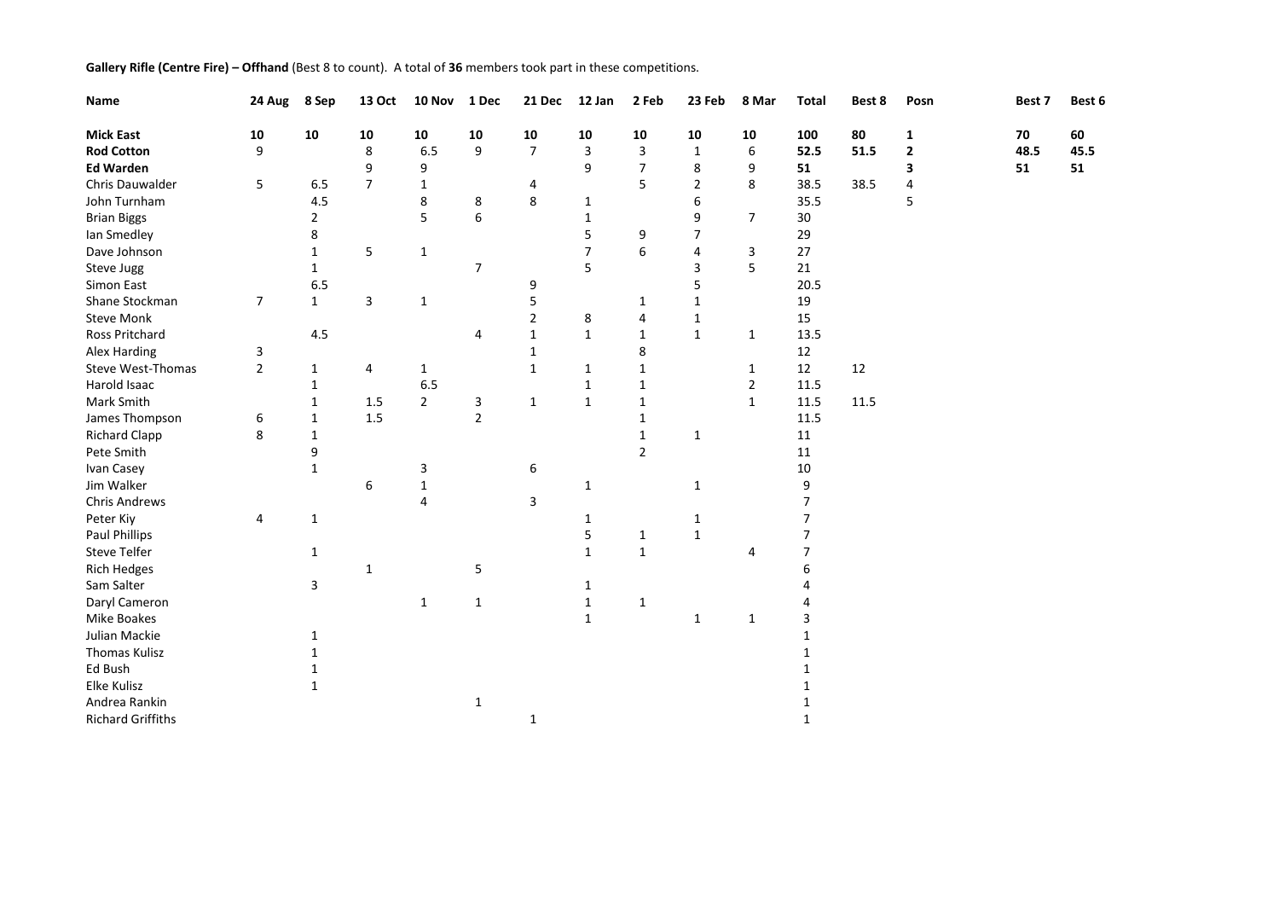**Gallery Rifle (Centre Fire) – Offhand** (Best 8 to count). A total of **36** members took part in these competitions.

| Name                     | 24 Aug         | 8 Sep                   | 13 Oct         | 10 Nov         | 1 Dec          | 21 Dec         | 12 Jan         | 2 Feb          | 23 Feb         | 8 Mar          | <b>Total</b>   | Best 8 | Posn         | Best 7 | Best 6 |
|--------------------------|----------------|-------------------------|----------------|----------------|----------------|----------------|----------------|----------------|----------------|----------------|----------------|--------|--------------|--------|--------|
| <b>Mick East</b>         | 10             | 10                      | 10             | 10             | 10             | 10             | 10             | 10             | 10             | 10             | 100            | 80     | $\mathbf{1}$ | 70     | 60     |
| <b>Rod Cotton</b>        | 9              |                         | 8              | 6.5            | 9              | $\overline{7}$ | 3              | 3              | $\mathbf{1}$   | 6              | 52.5           | 51.5   | $\mathbf 2$  | 48.5   | 45.5   |
| <b>Ed Warden</b>         |                |                         | 9              | 9              |                |                | 9              | $\overline{7}$ | 8              | 9              | 51             |        | 3            | 51     | 51     |
| Chris Dauwalder          | 5              | 6.5                     | $\overline{7}$ | 1              |                | 4              |                | 5              | $\overline{2}$ | 8              | 38.5           | 38.5   | 4            |        |        |
| John Turnham             |                | 4.5                     |                | 8              | 8              | 8              | 1              |                | 6              |                | 35.5           |        | 5            |        |        |
| <b>Brian Biggs</b>       |                | $\overline{\mathbf{c}}$ |                | 5              | 6              |                | 1              |                | 9              | $\overline{7}$ | $30\,$         |        |              |        |        |
| lan Smedley              |                | 8                       |                |                |                |                | 5              | 9              | 7              |                | 29             |        |              |        |        |
| Dave Johnson             |                | $\mathbf{1}$            | 5              | $\mathbf{1}$   |                |                | $\overline{7}$ | 6              | 4              | 3              | 27             |        |              |        |        |
| Steve Jugg               |                | $\mathbf{1}$            |                |                | $\overline{7}$ |                | 5              |                | 3              | 5              | 21             |        |              |        |        |
| Simon East               |                | 6.5                     |                |                |                | 9              |                |                | 5              |                | 20.5           |        |              |        |        |
| Shane Stockman           | $\overline{7}$ | $\mathbf{1}$            | 3              | $\mathbf{1}$   |                | 5              |                | 1              | 1              |                | 19             |        |              |        |        |
| <b>Steve Monk</b>        |                |                         |                |                |                | 2              | 8              | 4              | 1              |                | 15             |        |              |        |        |
| Ross Pritchard           |                | 4.5                     |                |                | 4              | $\mathbf{1}$   | $\mathbf{1}$   | 1              | $\mathbf{1}$   | $\mathbf{1}$   | 13.5           |        |              |        |        |
| Alex Harding             | 3              |                         |                |                |                | 1              |                | 8              |                |                | 12             |        |              |        |        |
| Steve West-Thomas        | $\overline{2}$ | 1                       | 4              | $\mathbf{1}$   |                | $\mathbf{1}$   | 1              | 1              |                | 1              | 12             | 12     |              |        |        |
| Harold Isaac             |                | 1                       |                | 6.5            |                |                | 1              | 1              |                | $\overline{2}$ | 11.5           |        |              |        |        |
| Mark Smith               |                | 1                       | $1.5\,$        | $\overline{2}$ | 3              | $\mathbf{1}$   | $\mathbf{1}$   | $\mathbf 1$    |                | $\mathbf{1}$   | 11.5           | 11.5   |              |        |        |
| James Thompson           | 6              | 1                       | $1.5\,$        |                | $\overline{2}$ |                |                | 1              |                |                | 11.5           |        |              |        |        |
| <b>Richard Clapp</b>     | 8              | 1                       |                |                |                |                |                | 1              | 1              |                | 11             |        |              |        |        |
| Pete Smith               |                | 9                       |                |                |                |                |                | $\overline{2}$ |                |                | 11             |        |              |        |        |
| Ivan Casey               |                | $\mathbf{1}$            |                | 3              |                | 6              |                |                |                |                | $10\,$         |        |              |        |        |
| Jim Walker               |                |                         | 6              | $\mathbf{1}$   |                |                | 1              |                | 1              |                | 9              |        |              |        |        |
| <b>Chris Andrews</b>     |                |                         |                | 4              |                | 3              |                |                |                |                | 7              |        |              |        |        |
| Peter Kiy                | 4              | $\mathbf{1}$            |                |                |                |                | 1              |                | 1              |                | $\overline{7}$ |        |              |        |        |
| Paul Phillips            |                |                         |                |                |                |                | 5              | 1              | $\mathbf{1}$   |                | 7              |        |              |        |        |
| <b>Steve Telfer</b>      |                | 1                       |                |                |                |                | $\mathbf{1}$   | $\mathbf{1}$   |                | 4              | 7              |        |              |        |        |
| <b>Rich Hedges</b>       |                |                         | 1              |                | 5              |                |                |                |                |                | 6              |        |              |        |        |
| Sam Salter               |                | 3                       |                |                |                |                | 1              |                |                |                |                |        |              |        |        |
| Daryl Cameron            |                |                         |                | $\mathbf{1}$   | $\mathbf{1}$   |                | $\mathbf{1}$   | $\mathbf{1}$   |                |                |                |        |              |        |        |
| Mike Boakes              |                |                         |                |                |                |                | $\mathbf{1}$   |                | 1              | $\mathbf{1}$   | 3              |        |              |        |        |
| Julian Mackie            |                | 1                       |                |                |                |                |                |                |                |                | 1              |        |              |        |        |
| <b>Thomas Kulisz</b>     |                | 1                       |                |                |                |                |                |                |                |                |                |        |              |        |        |
| Ed Bush                  |                |                         |                |                |                |                |                |                |                |                |                |        |              |        |        |
| <b>Elke Kulisz</b>       |                | 1                       |                |                |                |                |                |                |                |                |                |        |              |        |        |
| Andrea Rankin            |                |                         |                |                | $\mathbf{1}$   |                |                |                |                |                |                |        |              |        |        |
| <b>Richard Griffiths</b> |                |                         |                |                |                | $\mathbf{1}$   |                |                |                |                | $\mathbf{1}$   |        |              |        |        |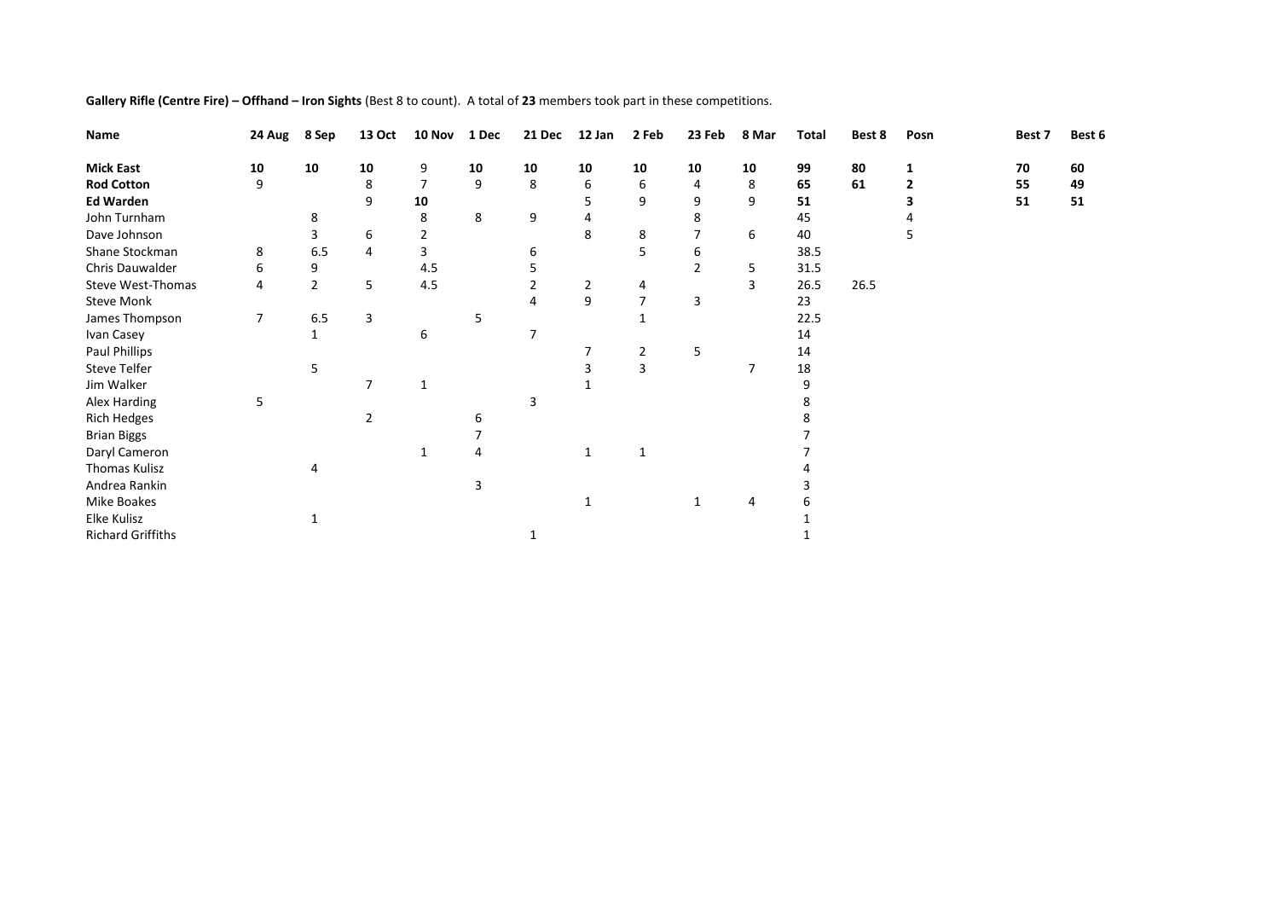| Name                     | 24 Aug     | 8 Sep          | 13 Oct         | 10 Nov | 1 Dec | 21 Dec         | 12 Jan       | 2 Feb          | 23 Feb         | 8 Mar | Total | Best 8 | Posn | Best 7 | Best 6 |
|--------------------------|------------|----------------|----------------|--------|-------|----------------|--------------|----------------|----------------|-------|-------|--------|------|--------|--------|
| <b>Mick East</b>         | ${\bf 10}$ | 10             | 10             | 9      | 10    | 10             | 10           | 10             | 10             | 10    | 99    | 80     |      | 70     | 60     |
| <b>Rod Cotton</b>        | 9          |                | 8              | 7      | 9     | 8              | 6            | 6              | 4              | 8     | 65    | 61     |      | 55     | 49     |
| <b>Ed Warden</b>         |            |                | 9              | 10     |       |                | 5            | 9              | 9              | 9     | 51    |        |      | 51     | 51     |
| John Turnham             |            | 8              |                | 8      | 8     | 9              |              |                | 8              |       | 45    |        |      |        |        |
| Dave Johnson             |            | 3              | 6              | 2      |       |                | 8            | 8              | 7              | 6     | 40    |        | 5    |        |        |
| Shane Stockman           | 8          | 6.5            | 4              |        |       | 6              |              | 5              | 6              |       | 38.5  |        |      |        |        |
| Chris Dauwalder          | 6          | 9              |                | 4.5    |       | 5              |              |                | $\overline{2}$ | 5     | 31.5  |        |      |        |        |
| Steve West-Thomas        | 4          | $\overline{2}$ | 5              | 4.5    |       |                | 2            | 4              |                | 3     | 26.5  | 26.5   |      |        |        |
| <b>Steve Monk</b>        |            |                |                |        |       | 4              | 9            | 7              | 3              |       | 23    |        |      |        |        |
| James Thompson           | 7          | 6.5            | 3              |        | 5     |                |              |                |                |       | 22.5  |        |      |        |        |
| Ivan Casey               |            | 1              |                | 6      |       | $\overline{7}$ |              |                |                |       | 14    |        |      |        |        |
| Paul Phillips            |            |                |                |        |       |                |              | $\overline{2}$ | 5              |       | 14    |        |      |        |        |
| <b>Steve Telfer</b>      |            | 5              |                |        |       |                | 3            | 3              |                | 7     | 18    |        |      |        |        |
| Jim Walker               |            |                | 7              | 1      |       |                |              |                |                |       | 9     |        |      |        |        |
| Alex Harding             | 5          |                |                |        |       | 3              |              |                |                |       | 8     |        |      |        |        |
| <b>Rich Hedges</b>       |            |                | $\overline{2}$ |        | 6     |                |              |                |                |       |       |        |      |        |        |
| <b>Brian Biggs</b>       |            |                |                |        |       |                |              |                |                |       |       |        |      |        |        |
| Daryl Cameron            |            |                |                | 1      | 4     |                | $\mathbf{1}$ | -1             |                |       |       |        |      |        |        |
| Thomas Kulisz            |            | 4              |                |        |       |                |              |                |                |       |       |        |      |        |        |
| Andrea Rankin            |            |                |                |        | 3     |                |              |                |                |       |       |        |      |        |        |
| Mike Boakes              |            |                |                |        |       |                |              |                |                | 4     |       |        |      |        |        |
| Elke Kulisz              |            | $\mathbf{1}$   |                |        |       |                |              |                |                |       |       |        |      |        |        |
| <b>Richard Griffiths</b> |            |                |                |        |       |                |              |                |                |       |       |        |      |        |        |

**Gallery Rifle (Centre Fire) – Offhand – Iron Sights** (Best 8 to count). A total of **23** members took part in these competitions.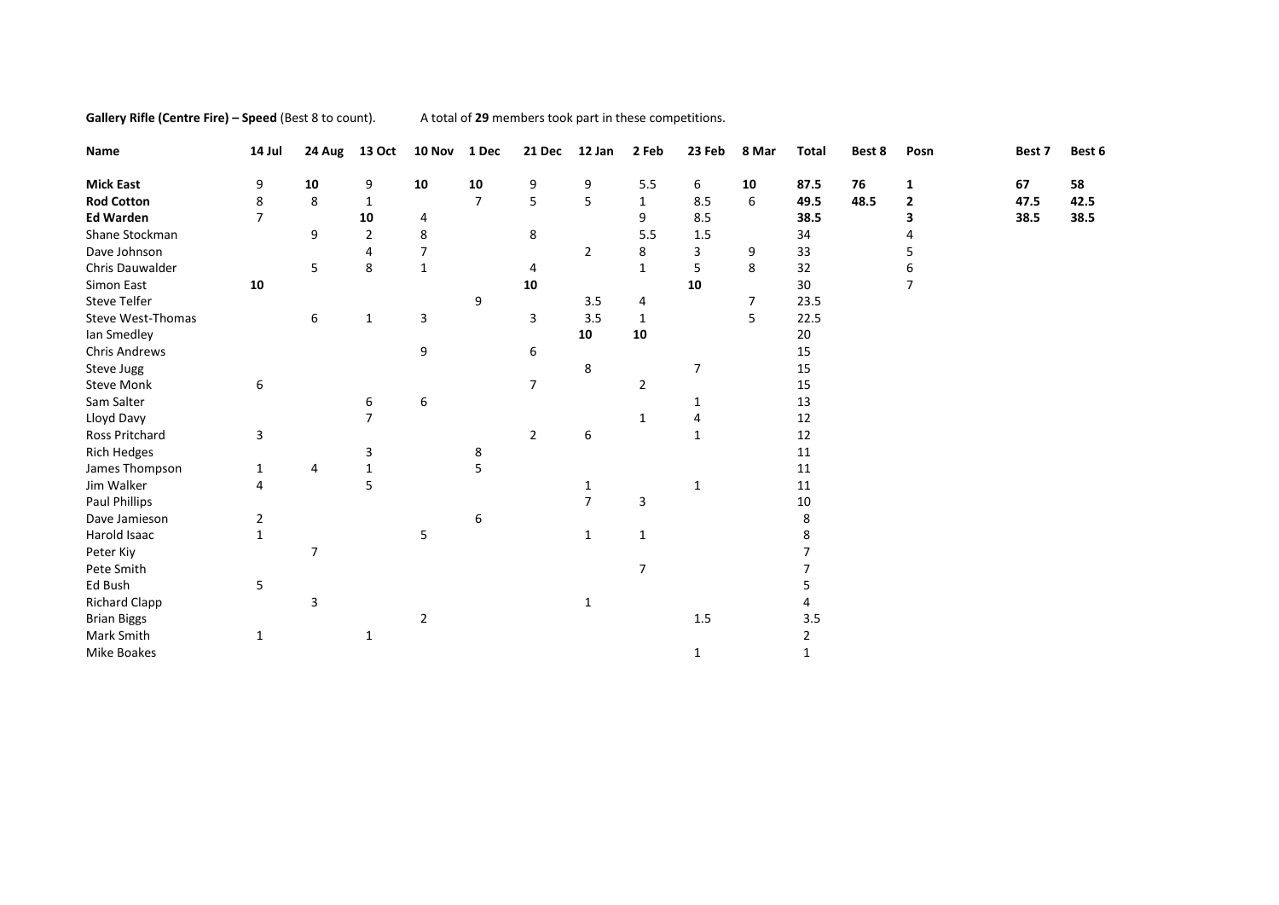**Gallery Rifle (Centre Fire) – Speed** (Best 8 to count). A total of 29 members took part in these competitions.

| Name                 | 14 Jul         | 24 Aug         | 13 Oct         | 10 Nov         | 1 Dec          | 21 Dec         | 12 Jan         | 2 Feb          | 23 Feb         | 8 Mar | <b>Total</b>   | Best 8 | Posn           | Best 7 | Best 6 |
|----------------------|----------------|----------------|----------------|----------------|----------------|----------------|----------------|----------------|----------------|-------|----------------|--------|----------------|--------|--------|
| <b>Mick East</b>     | 9              | 10             | 9              | 10             | 10             | 9              | 9              | 5.5            | 6              | 10    | 87.5           | 76     | 1              | 67     | 58     |
| <b>Rod Cotton</b>    | 8              | 8              | $\mathbf{1}$   |                | $\overline{7}$ | 5              | 5              | $\mathbf{1}$   | 8.5            | 6     | 49.5           | 48.5   | $\overline{2}$ | 47.5   | 42.5   |
| <b>Ed Warden</b>     | $\overline{7}$ |                | 10             | 4              |                |                |                | 9              | 8.5            |       | 38.5           |        | 3              | 38.5   | 38.5   |
| Shane Stockman       |                | 9              | $\overline{2}$ | 8              |                | 8              |                | 5.5            | 1.5            |       | 34             |        |                |        |        |
| Dave Johnson         |                |                | 4              | $\overline{7}$ |                |                | $\overline{2}$ | 8              | 3              | 9     | 33             |        | 5              |        |        |
| Chris Dauwalder      |                | 5              | 8              | 1              |                | 4              |                | $\mathbf{1}$   | 5              | 8     | 32             |        | 6              |        |        |
| Simon East           | 10             |                |                |                |                | 10             |                |                | 10             |       | 30             |        | $\overline{7}$ |        |        |
| <b>Steve Telfer</b>  |                |                |                |                | 9              |                | 3.5            | 4              |                | 7     | 23.5           |        |                |        |        |
| Steve West-Thomas    |                | 6              | 1              | 3              |                | 3              | 3.5            | $\mathbf{1}$   |                | 5     | 22.5           |        |                |        |        |
| Ian Smedley          |                |                |                |                |                |                | 10             | 10             |                |       | 20             |        |                |        |        |
| <b>Chris Andrews</b> |                |                |                | 9              |                | 6              |                |                |                |       | 15             |        |                |        |        |
| Steve Jugg           |                |                |                |                |                |                | 8              |                | $\overline{7}$ |       | 15             |        |                |        |        |
| <b>Steve Monk</b>    | 6              |                |                |                |                | $\overline{7}$ |                | $\overline{2}$ |                |       | 15             |        |                |        |        |
| Sam Salter           |                |                | 6              | 6              |                |                |                |                | 1              |       | 13             |        |                |        |        |
| Lloyd Davy           |                |                | $\overline{7}$ |                |                |                |                | $\mathbf{1}$   | 4              |       | 12             |        |                |        |        |
| Ross Pritchard       | 3              |                |                |                |                | $\overline{2}$ | 6              |                | $\mathbf{1}$   |       | 12             |        |                |        |        |
| <b>Rich Hedges</b>   |                |                | 3              |                | 8              |                |                |                |                |       | 11             |        |                |        |        |
| James Thompson       | 1              | 4              | 1              |                | 5              |                |                |                |                |       | 11             |        |                |        |        |
| Jim Walker           | 4              |                | 5              |                |                |                | 1              |                | 1              |       | 11             |        |                |        |        |
| Paul Phillips        |                |                |                |                |                |                | $\overline{7}$ | 3              |                |       | $10\,$         |        |                |        |        |
| Dave Jamieson        | $\overline{2}$ |                |                |                | 6              |                |                |                |                |       | 8              |        |                |        |        |
| Harold Isaac         | $\mathbf{1}$   |                |                | 5              |                |                | $\mathbf{1}$   | $\mathbf{1}$   |                |       | 8              |        |                |        |        |
| Peter Kiy            |                | $\overline{7}$ |                |                |                |                |                |                |                |       |                |        |                |        |        |
| Pete Smith           |                |                |                |                |                |                |                | $\overline{7}$ |                |       |                |        |                |        |        |
| Ed Bush              | 5              |                |                |                |                |                |                |                |                |       | 5              |        |                |        |        |
| <b>Richard Clapp</b> |                | 3              |                |                |                |                | 1              |                |                |       |                |        |                |        |        |
| <b>Brian Biggs</b>   |                |                |                | $\overline{2}$ |                |                |                |                | $1.5\,$        |       | 3.5            |        |                |        |        |
| Mark Smith           | $\mathbf{1}$   |                | $\mathbf{1}$   |                |                |                |                |                |                |       | $\overline{2}$ |        |                |        |        |
| Mike Boakes          |                |                |                |                |                |                |                |                | $\mathbf{1}$   |       | 1              |        |                |        |        |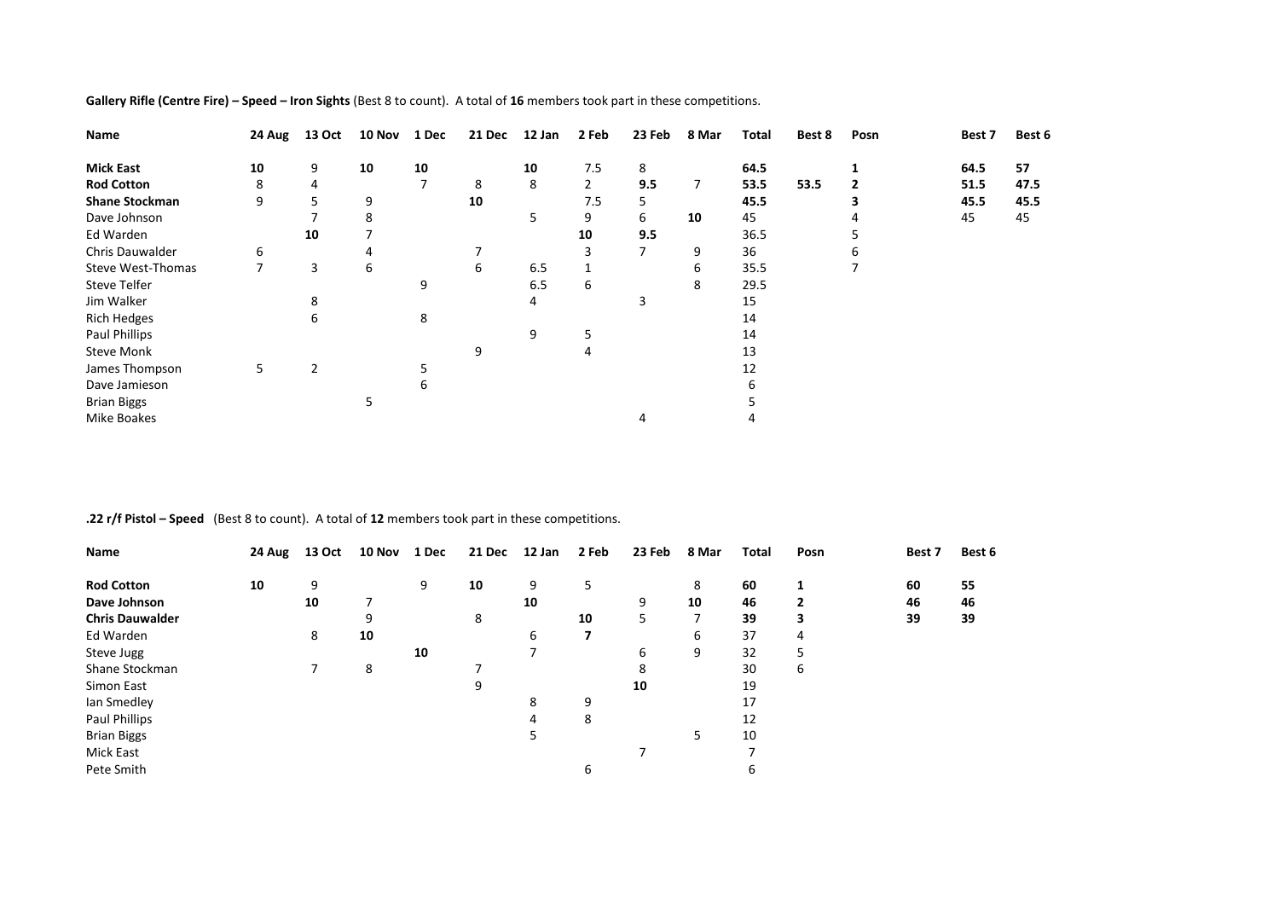| Name                     | 24 Aug | 13 Oct | 10 Nov | 1 Dec | 21 Dec | 12 Jan | 2 Feb          | 23 Feb | 8 Mar | <b>Total</b> | Best 8 | Posn | Best 7 | Best 6 |
|--------------------------|--------|--------|--------|-------|--------|--------|----------------|--------|-------|--------------|--------|------|--------|--------|
| <b>Mick East</b>         | 10     | 9      | 10     | 10    |        | 10     | 7.5            | 8      |       | 64.5         |        |      | 64.5   | 57     |
| <b>Rod Cotton</b>        | 8      | 4      |        | 7     | 8      | 8      | $\overline{2}$ | 9.5    | 7     | 53.5         | 53.5   |      | 51.5   | 47.5   |
| <b>Shane Stockman</b>    | 9      | 5.     | 9      |       | 10     |        | 7.5            |        |       | 45.5         |        |      | 45.5   | 45.5   |
| Dave Johnson             |        |        | 8      |       |        | 5      | 9              | 6      | 10    | 45           |        |      | 45     | 45     |
| Ed Warden                |        | 10     |        |       |        |        | 10             | 9.5    |       | 36.5         |        |      |        |        |
| Chris Dauwalder          | 6      |        | 4      |       | 7      |        |                |        | 9     | 36           |        |      |        |        |
| <b>Steve West-Thomas</b> |        | 3      | 6      |       | 6      | 6.5    |                |        | 6     | 35.5         |        |      |        |        |
| <b>Steve Telfer</b>      |        |        |        | 9     |        | 6.5    | 6              |        | 8     | 29.5         |        |      |        |        |
| Jim Walker               |        | 8      |        |       |        | 4      |                | 3      |       | 15           |        |      |        |        |
| <b>Rich Hedges</b>       |        | 6      |        | 8     |        |        |                |        |       | 14           |        |      |        |        |
| Paul Phillips            |        |        |        |       |        | 9      | 5              |        |       | 14           |        |      |        |        |
| <b>Steve Monk</b>        |        |        |        |       | 9      |        | 4              |        |       | 13           |        |      |        |        |
| James Thompson           | 5      | 2      |        | 5     |        |        |                |        |       | 12           |        |      |        |        |
| Dave Jamieson            |        |        |        | 6     |        |        |                |        |       |              |        |      |        |        |
| <b>Brian Biggs</b>       |        |        |        |       |        |        |                |        |       |              |        |      |        |        |
| <b>Mike Boakes</b>       |        |        |        |       |        |        |                |        |       |              |        |      |        |        |

**Gallery Rifle (Centre Fire) – Speed – Iron Sights** (Best 8 to count). A total of **16** members took part in these competitions.

**.22 r/f Pistol – Speed** (Best 8 to count). A total of **12** members took part in these competitions.

| Name                   | 24 Aug | 13 Oct | 10 Nov | 1 Dec | 21 Dec | 12 Jan | 2 Feb | 23 Feb | 8 Mar | Total | Posn | Best 7 | Best 6 |
|------------------------|--------|--------|--------|-------|--------|--------|-------|--------|-------|-------|------|--------|--------|
| <b>Rod Cotton</b>      | 10     | 9      |        | 9     | 10     | 9      | 5     |        | 8     | 60    | 1    | 60     | 55     |
| Dave Johnson           |        | 10     |        |       |        | 10     |       | 9      | 10    | 46    | 2    | 46     | 46     |
| <b>Chris Dauwalder</b> |        |        | 9      |       | 8      |        | 10    | 5      | 7     | 39    | 3    | 39     | 39     |
| Ed Warden              |        | 8      | 10     |       |        | 6      | 7     |        | 6     | 37    | 4    |        |        |
| Steve Jugg             |        |        |        | 10    |        |        |       | 6      | 9     | 32    | 5    |        |        |
| Shane Stockman         |        |        | 8      |       |        |        |       | 8      |       | 30    | 6    |        |        |
| Simon East             |        |        |        |       | 9      |        |       | 10     |       | 19    |      |        |        |
| lan Smedley            |        |        |        |       |        | 8      | 9     |        |       | 17    |      |        |        |
| Paul Phillips          |        |        |        |       |        | 4      | 8     |        |       | 12    |      |        |        |
| <b>Brian Biggs</b>     |        |        |        |       |        | 5      |       |        | 5     | 10    |      |        |        |
| Mick East              |        |        |        |       |        |        |       | ⇁      |       | ⇁     |      |        |        |
| Pete Smith             |        |        |        |       |        |        | 6     |        |       | 6     |      |        |        |